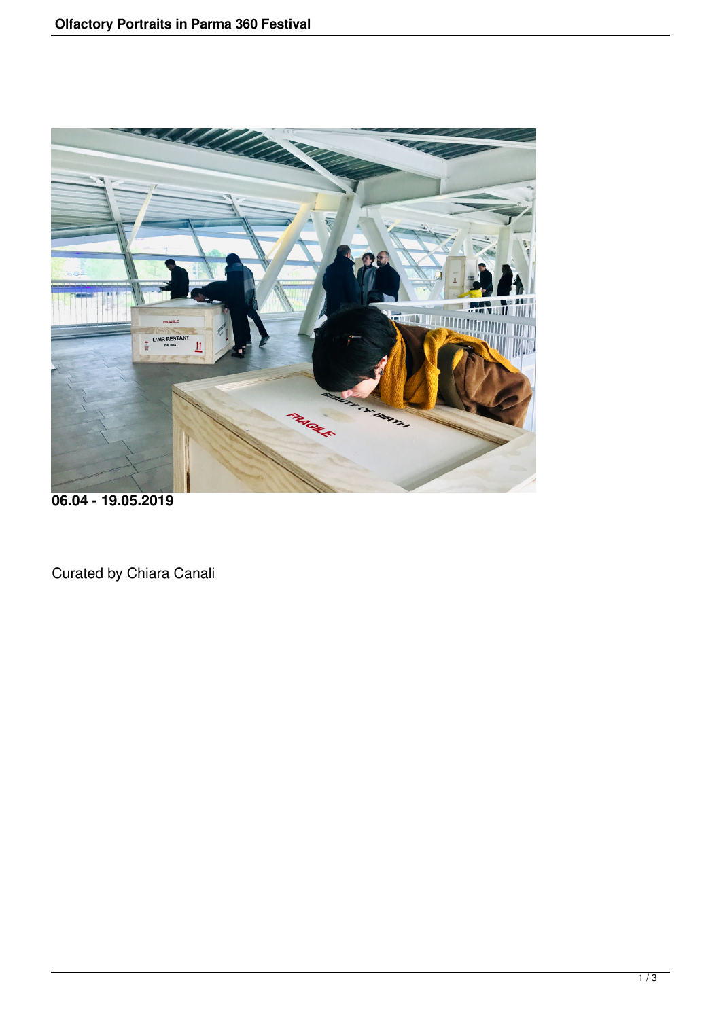

**06.04 - 19.05.2019**

Curated by Chiara Canali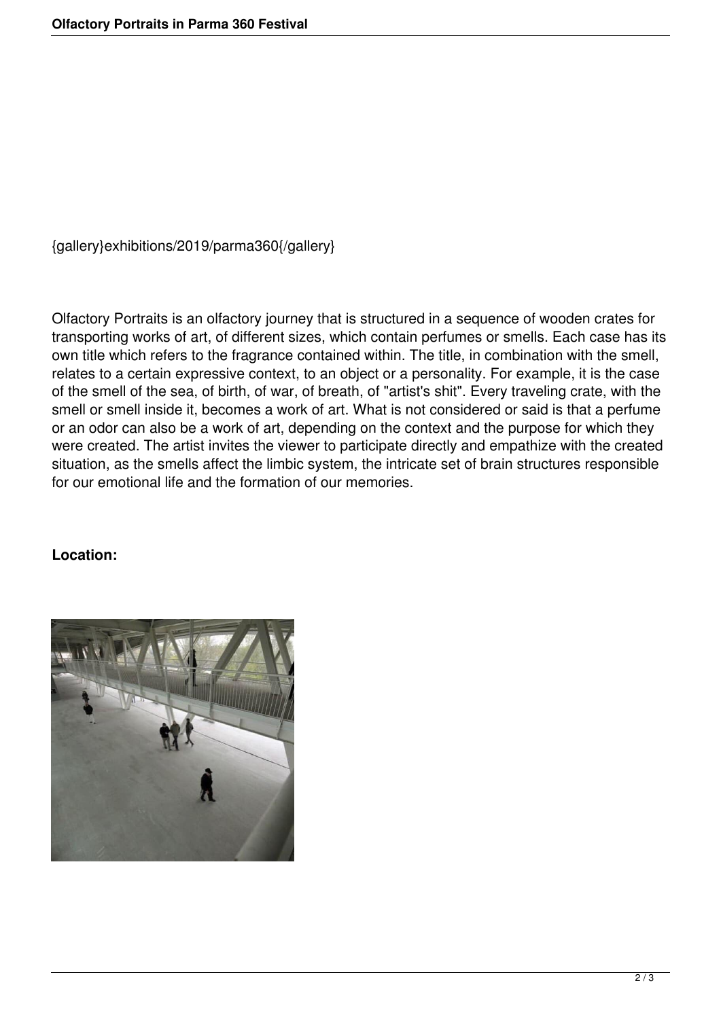{gallery}exhibitions/2019/parma360{/gallery}

Olfactory Portraits is an olfactory journey that is structured in a sequence of wooden crates for transporting works of art, of different sizes, which contain perfumes or smells. Each case has its own title which refers to the fragrance contained within. The title, in combination with the smell, relates to a certain expressive context, to an object or a personality. For example, it is the case of the smell of the sea, of birth, of war, of breath, of "artist's shit". Every traveling crate, with the smell or smell inside it, becomes a work of art. What is not considered or said is that a perfume or an odor can also be a work of art, depending on the context and the purpose for which they were created. The artist invites the viewer to participate directly and empathize with the created situation, as the smells affect the limbic system, the intricate set of brain structures responsible for our emotional life and the formation of our memories.

## **Location:**